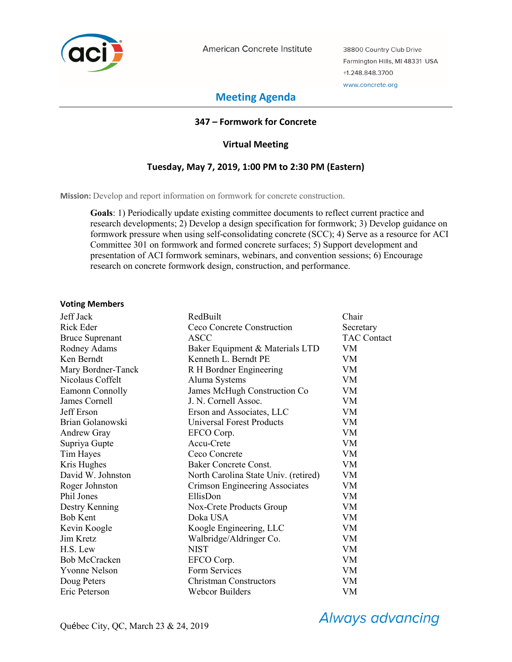

American Concrete Institute

38800 Country Club Drive Farmington Hills, MI 48331 USA +1.248.848.3700 www.concrete.org

# **Meeting Agenda**

# **347 – Formwork for Concrete**

# **Virtual Meeting**

# **Tuesday, May 7, 2019, 1:00 PM to 2:30 PM (Eastern)**

**Mission:** Develop and report information on formwork for concrete construction.

**Goals**: 1) Periodically update existing committee documents to reflect current practice and research developments; 2) Develop a design specification for formwork; 3) Develop guidance on formwork pressure when using self-consolidating concrete (SCC); 4) Serve as a resource for ACI Committee 301 on formwork and formed concrete surfaces; 5) Support development and presentation of ACI formwork seminars, webinars, and convention sessions; 6) Encourage research on concrete formwork design, construction, and performance.

### **Voting Members**

| Jeff Jack              | RedBuilt                             | Chair              |
|------------------------|--------------------------------------|--------------------|
| Rick Eder              | Ceco Concrete Construction           | Secretary          |
| <b>Bruce Suprenant</b> | <b>ASCC</b>                          | <b>TAC Contact</b> |
| Rodney Adams           | Baker Equipment & Materials LTD      | <b>VM</b>          |
| Ken Berndt             | Kenneth L. Berndt PE                 | VM.                |
| Mary Bordner-Tanck     | R H Bordner Engineering              | VM                 |
| Nicolaus Coffelt       | Aluma Systems                        | VM                 |
| Eamonn Connolly        | James McHugh Construction Co         | VM                 |
| James Cornell          | J. N. Cornell Assoc.                 | VM                 |
| Jeff Erson             | Erson and Associates, LLC            | VM                 |
| Brian Golanowski       | Universal Forest Products            | VM                 |
| Andrew Gray            | EFCO Corp.                           | VM                 |
| Supriya Gupte          | Accu-Crete                           | VM                 |
| Tim Hayes              | Ceco Concrete                        | VM                 |
| Kris Hughes            | Baker Concrete Const.                | VM                 |
| David W. Johnston      | North Carolina State Univ. (retired) | VM                 |
| Roger Johnston         | Crimson Engineering Associates       | VM                 |
| Phil Jones             | EllisDon                             | VM                 |
| Destry Kenning         | Nox-Crete Products Group             | VM                 |
| <b>Bob Kent</b>        | Doka USA                             | VM                 |
| Kevin Koogle           | Koogle Engineering, LLC              | VM                 |
| Jim Kretz              | Walbridge/Aldringer Co.              | VM                 |
| H.S. Lew               | <b>NIST</b>                          | <b>VM</b>          |
| <b>Bob McCracken</b>   | EFCO Corp.                           | VM                 |
| Yvonne Nelson          | Form Services                        | VM                 |
| Doug Peters            | <b>Christman Constructors</b>        | VM                 |
| Eric Peterson          | Webcor Builders                      | VM                 |